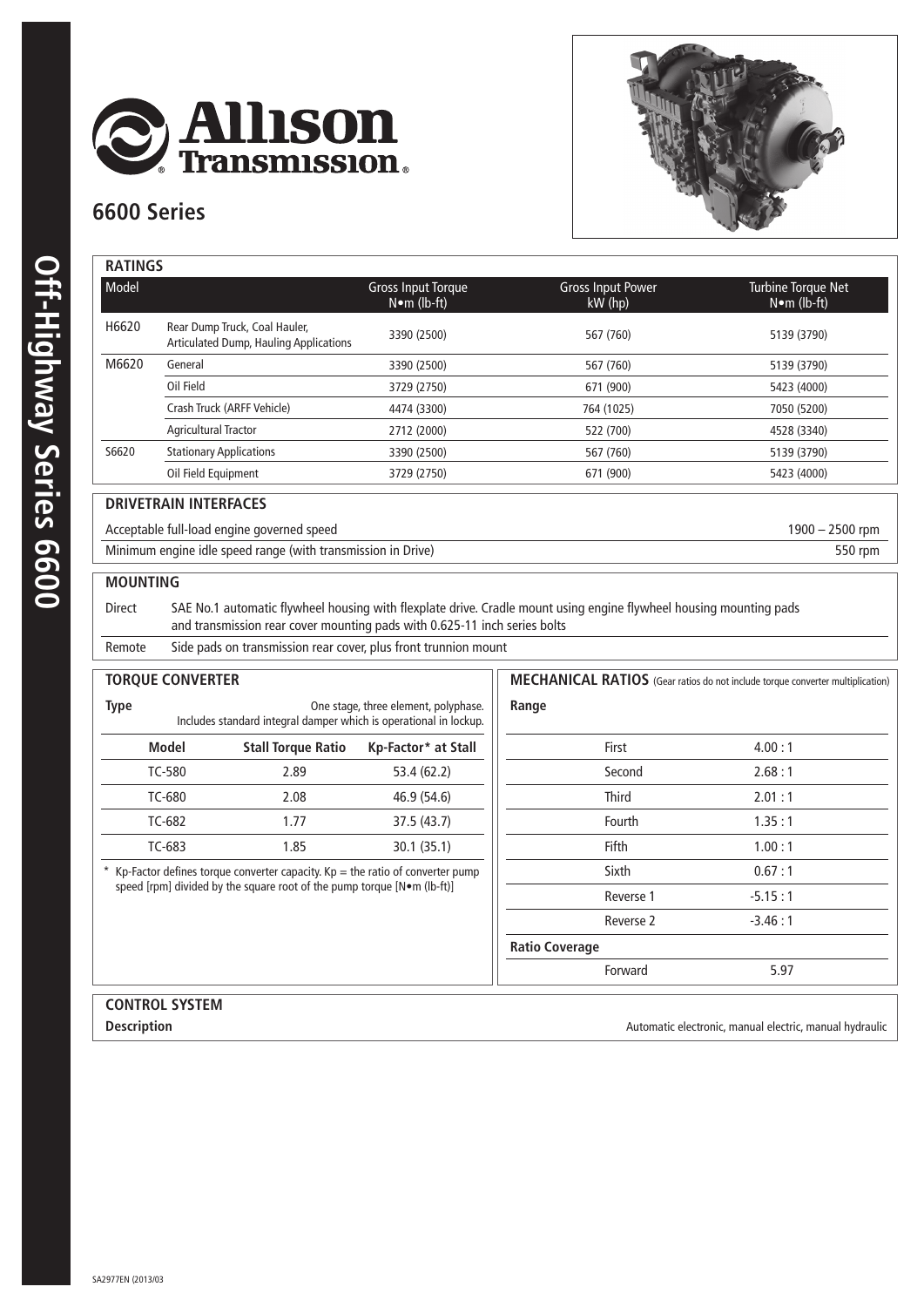

## **6600 Series**



|  | <b>RATINGS</b>  |                                                   |  |  |
|--|-----------------|---------------------------------------------------|--|--|
|  | Model           |                                                   |  |  |
|  | H6620           | <b>Rear Dump Truck</b><br><b>Articulated Dump</b> |  |  |
|  | M6620           | General                                           |  |  |
|  |                 | Oil Field                                         |  |  |
|  |                 | Crash Truck (ARF                                  |  |  |
|  |                 | <b>Agricultural Tract</b>                         |  |  |
|  | S6620           | <b>Stationary Applic</b>                          |  |  |
|  |                 | Oil Field Equipme                                 |  |  |
|  |                 | <b>DRIVETRAIN INTERFAQ</b>                        |  |  |
|  |                 | Acceptable full-load engine                       |  |  |
|  |                 | Minimum engine idle spee                          |  |  |
|  | <b>MOUNTING</b> |                                                   |  |  |
|  | Direct          | SAE No.1 auto                                     |  |  |

| Model |                                                                         | <b>Gross Input Torque</b><br>$N \bullet m$ (lb-ft) | <b>Gross Input Power</b><br>$kW$ (hp) | Turbine Torque Net<br>$N \bullet m$ (lb-ft) |
|-------|-------------------------------------------------------------------------|----------------------------------------------------|---------------------------------------|---------------------------------------------|
| H6620 | Rear Dump Truck, Coal Hauler,<br>Articulated Dump, Hauling Applications | 3390 (2500)                                        | 567 (760)                             | 5139 (3790)                                 |
| M6620 | General                                                                 | 3390 (2500)                                        | 567 (760)                             | 5139 (3790)                                 |
|       | Oil Field                                                               | 3729 (2750)                                        | 671 (900)                             | 5423 (4000)                                 |
|       | Crash Truck (ARFF Vehicle)                                              | 4474 (3300)                                        | 764 (1025)                            | 7050 (5200)                                 |
|       | <b>Agricultural Tractor</b>                                             | 2712 (2000)                                        | 522 (700)                             | 4528 (3340)                                 |
| S6620 | <b>Stationary Applications</b>                                          | 3390 (2500)                                        | 567 (760)                             | 5139 (3790)                                 |
|       | Oil Field Equipment                                                     | 3729 (2750)                                        | 671 (900)                             | 5423 (4000)                                 |
|       | <b>DRIVETRAIN INTERFACES</b>                                            |                                                    |                                       |                                             |

## e governed speed acceptable function of the governed speed 1900 – 2500 rpm

Minimum engine idle speed range (with transmission in Drive) 550 rpm

omatic flywheel housing with flexplate drive. Cradle mount using engine flywheel housing mounting pads and transmission rear cover mounting pads with 0.625-11 inch series bolts

Remote Side pads on transmission rear cover, plus front trunnion mount

| <b>TORQUE CONVERTER</b>                                                                                                                                    |                                                                   |                                      |                       | MECHANICAL RATIOS (Gear ratios do not include torque converter multiplication) |
|------------------------------------------------------------------------------------------------------------------------------------------------------------|-------------------------------------------------------------------|--------------------------------------|-----------------------|--------------------------------------------------------------------------------|
| <b>Type</b>                                                                                                                                                | Includes standard integral damper which is operational in lockup. | One stage, three element, polyphase. | Range                 |                                                                                |
| <b>Model</b>                                                                                                                                               | <b>Stall Torque Ratio</b>                                         | Kp-Factor* at Stall                  | First                 | 4.00:1                                                                         |
| <b>TC-580</b>                                                                                                                                              | 2.89                                                              | 53.4 (62.2)                          | Second                | 2.68:1                                                                         |
| TC-680                                                                                                                                                     | 2.08                                                              | 46.9 (54.6)                          | <b>Third</b>          | 2.01:1                                                                         |
| TC-682                                                                                                                                                     | 1.77                                                              | 37.5 (43.7)                          | Fourth                | 1.35:1                                                                         |
| TC-683                                                                                                                                                     | 1.85                                                              | 30.1(35.1)                           | Fifth                 | 1.00:1                                                                         |
| * Kp-Factor defines torque converter capacity. Kp = the ratio of converter pump<br>speed [rpm] divided by the square root of the pump torque [N•m (lb-ft)] |                                                                   |                                      | Sixth                 | 0.67:1                                                                         |
|                                                                                                                                                            |                                                                   |                                      | Reverse 1             | $-5.15:1$                                                                      |
|                                                                                                                                                            |                                                                   |                                      | Reverse 2             | $-3.46:1$                                                                      |
|                                                                                                                                                            |                                                                   |                                      | <b>Ratio Coverage</b> |                                                                                |
|                                                                                                                                                            |                                                                   |                                      | Forward               | 5.97                                                                           |
|                                                                                                                                                            |                                                                   |                                      |                       |                                                                                |

## **control system**

**Description Contract Automatic electronic, manual electric, manual hydraulic Contract Automatic electronic, manual electric, manual hydraulic**